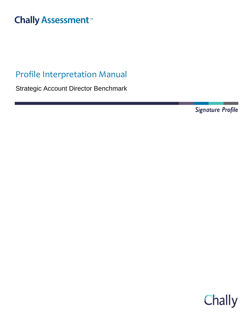# **Chally Assessment**

# Profile Interpretation Manual

Strategic Account Director Benchmark

Signature Profile

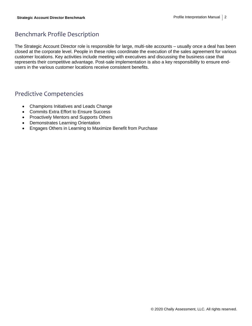## Benchmark Profile Description

The Strategic Account Director role is responsible for large, multi-site accounts – usually once a deal has been closed at the corporate level. People in these roles coordinate the execution of the sales agreement for various customer locations. Key activities include meeting with executives and discussing the business case that represents their competitive advantage. Post-sale implementation is also a key responsibility to ensure endusers in the various customer locations receive consistent benefits.

### Predictive Competencies

- Champions Initiatives and Leads Change
- Commits Extra Effort to Ensure Success
- Proactively Mentors and Supports Others
- Demonstrates Learning Orientation
- Engages Others in Learning to Maximize Benefit from Purchase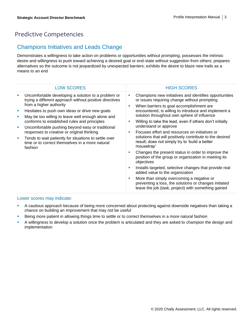## Predictive Competencies

#### Champions Initiatives and Leads Change

Demonstrates a willingness to take action on problems or opportunities without prompting; possesses the intrinsic desire and willingness to push toward achieving a desired goal or end-state without suggestion from others; prepares alternatives so the outcome is not jeopardized by unexpected barriers; exhibits the desire to blaze new trails as a means to an end

| <b>LOW SCORES</b>                                                                                                                                                                                                                                                                                                                                                                                                                                                                                                         | <b>HIGH SCORES</b>                                                                                                                                                                                                                                                                                                                                                                                                                                                                                                                                                                                                                                                                                                                                                                                                                                                                                                 |
|---------------------------------------------------------------------------------------------------------------------------------------------------------------------------------------------------------------------------------------------------------------------------------------------------------------------------------------------------------------------------------------------------------------------------------------------------------------------------------------------------------------------------|--------------------------------------------------------------------------------------------------------------------------------------------------------------------------------------------------------------------------------------------------------------------------------------------------------------------------------------------------------------------------------------------------------------------------------------------------------------------------------------------------------------------------------------------------------------------------------------------------------------------------------------------------------------------------------------------------------------------------------------------------------------------------------------------------------------------------------------------------------------------------------------------------------------------|
| Uncomfortable developing a solution to a problem or<br>trying a different approach without positive directives<br>from a higher authority<br>Hesitates to push own ideas or drive new goals<br>May be too willing to leave well enough alone and<br>conforms to established rules and principles<br>Uncomfortable pushing beyond easy or traditional<br>responses to creative or original thinking<br>Tends to wait patiently for situations to settle over<br>time or to correct themselves in a more natural<br>fashion | Champions new initiatives and identifies opportunities<br>or issues requiring change without prompting<br>When barriers to goal accomplishment are<br>encountered, is willing to introduce and implement a<br>solution throughout own sphere of influence<br>Willing to take the lead, even if others don't initially<br>understand or approve<br>Focuses effort and resources on initiatives or<br>solutions that will positively contribute to the desired<br>result; does not simply try to 'build a better<br>mousetrap'<br>Changes the present status in order to improve the<br>position of the group or organization in meeting its<br>objectives<br>Installs targeted, selective changes that provide real<br>added value to the organization<br>More than simply overcoming a negative or<br>preventing a loss, the solutions or changes initiated<br>leave the job (task, project) with something gained |

- A cautious approach because of being more concerned about protecting against downside negatives than taking a chance on building an improvement that may not be useful
- **EXECT ADDED FIND THE SHOW THE SHOW THE SHOW THE SHOW THE SHOW IS SHOW THE SHOW THE SHOW THE SHOW THE SHOW THE SHOW THE SHOW THE SHOW THE SHOW THE SHOW THE SHOW THE SHOW THE SHOW THE SHOW THE SHOW THE SHOW THE SHOW THE SHO**
- A willingness to develop a solution once the problem is articulated and they are asked to champion the design and implementation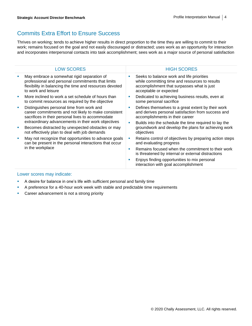## Commits Extra Effort to Ensure Success

Thrives on working; tends to achieve higher results in direct proportion to the time they are willing to commit to their work; remains focused on the goal and not easily discouraged or distracted; uses work as an opportunity for interaction and incorporates interpersonal contacts into task accomplishment; sees work as a major source of personal satisfaction

| <b>LOW SCORES</b>                                                                                                                                                                                             |   | <b>HIGH SCORES</b>                                                                                                                                                  |
|---------------------------------------------------------------------------------------------------------------------------------------------------------------------------------------------------------------|---|---------------------------------------------------------------------------------------------------------------------------------------------------------------------|
| May embrace a somewhat rigid separation of<br>professional and personal commitments that limits<br>flexibility in balancing the time and resources devoted<br>to work and leisure                             | ш | Seeks to balance work and life priorities<br>while committing time and resources to results<br>accomplishment that surpasses what is just<br>acceptable or expected |
| More inclined to work a set schedule of hours than<br>to commit resources as required by the objective                                                                                                        | п | Dedicated to achieving business results, even at<br>some personal sacrifice                                                                                         |
| Distinguishes personal time from work and<br>career commitments and not likely to make consistent<br>sacrifices in their personal lives to accommodate<br>extraordinary advancements in their work objectives | × | Defines themselves to a great extent by their work<br>and derives personal satisfaction from success and<br>accomplishments in their career                         |
| Becomes distracted by unexpected obstacles or may<br>not effectively plan to deal with job demands                                                                                                            | × | Builds into the schedule the time required to lay the<br>groundwork and develop the plans for achieving work<br>objectives                                          |
| May not recognize that opportunities to advance goals<br>can be present in the personal interactions that occur<br>in the workplace                                                                           | ш | Retains control of objectives by preparing action steps<br>and evaluating progress                                                                                  |
|                                                                                                                                                                                                               | п | Remains focused when the commitment to their work<br>is threatened by internal or external distractions                                                             |
|                                                                                                                                                                                                               | × | Enjoys finding opportunities to mix personal<br>interaction with goal accomplishment                                                                                |
|                                                                                                                                                                                                               |   |                                                                                                                                                                     |

- **•** A desire for balance in one's life with sufficient personal and family time
- **•** A preference for a 40-hour work week with stable and predictable time requirements
- **•** Career advancement is not a strong priority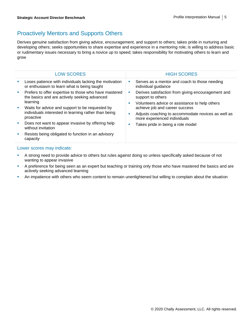## Proactively Mentors and Supports Others

Derives genuine satisfaction from giving advice, encouragement, and support to others; takes pride in nurturing and developing others; seeks opportunities to share expertise and experience in a mentoring role; is willing to address basic or rudimentary issues necessary to bring a novice up to speed; takes responsibility for motivating others to learn and grow

|                            | <b>LOW SCORES</b>                                                                                                    |         | <b>HIGH SCORES</b>                                                                                                        |
|----------------------------|----------------------------------------------------------------------------------------------------------------------|---------|---------------------------------------------------------------------------------------------------------------------------|
| M.                         | Loses patience with individuals lacking the motivation<br>or enthusiasm to learn what is being taught                | a.      | Serves as a mentor and coach to those needing<br>individual guidance                                                      |
| ш                          | Prefers to offer expertise to those who have mastered<br>the basics and are actively seeking advanced<br>learning    | ш<br>M. | Derives satisfaction from giving encouragement and<br>support to others<br>Volunteers advice or assistance to help others |
| ×.                         | Waits for advice and support to be requested by<br>individuals interested in learning rather than being<br>proactive |         | achieve job and career success<br>Adjusts coaching to accommodate novices as well as<br>more experienced individuals      |
| ш                          | Does not want to appear invasive by offering help<br>without invitation                                              | a.      | Takes pride in being a role model                                                                                         |
|                            | Resists being obligated to function in an advisory<br>capacity                                                       |         |                                                                                                                           |
| Lower scores may indicate: |                                                                                                                      |         |                                                                                                                           |

- **•** A strong need to provide advice to others but rules against doing so unless specifically asked because of not wanting to appear invasive
- **•** A preference for being seen as an expert but teaching or training only those who have mastered the basics and are actively seeking advanced learning
- **•** An impatience with others who seem content to remain unenlightened but willing to complain about the situation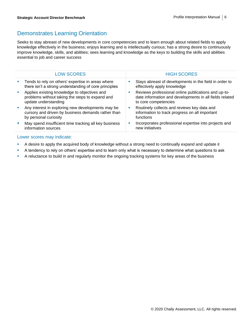#### Demonstrates Learning Orientation

Seeks to stay abreast of new developments in core competencies and to learn enough about related fields to apply knowledge effectively in the business; enjoys learning and is intellectually curious; has a strong desire to continuously improve knowledge, skills, and abilities; sees learning and knowledge as the keys to building the skills and abilities essential to job and career success

|   | <b>LOW SCORES</b>                                                                                                                | <b>HIGH SCORES</b>                                                                                                                     |
|---|----------------------------------------------------------------------------------------------------------------------------------|----------------------------------------------------------------------------------------------------------------------------------------|
| × | Tends to rely on others' expertise in areas where<br>there isn't a strong understanding of core principles                       | Stays abreast of developments in the field in order to<br>effectively apply knowledge                                                  |
| × | Applies existing knowledge to objectives and<br>problems without taking the steps to expand and<br>update understanding          | Reviews professional online publications and up-to-<br>date information and developments in all fields related<br>to core competencies |
| ш | Any interest in exploring new developments may be<br>cursory and driven by business demands rather than<br>by personal curiosity | Routinely collects and reviews key data and<br>information to track progress on all important<br>functions                             |
|   | May spend insufficient time tracking all key business<br>information sources                                                     | Incorporates professional expertise into projects and<br>new initiatives                                                               |

- **•** A desire to apply the acquired body of knowledge without a strong need to continually expand and update it
- **EXECT A tendency to rely on others' expertise and to learn only what is necessary to determine what questions to ask**
- A reluctance to build in and regularly monitor the ongoing tracking systems for key areas of the business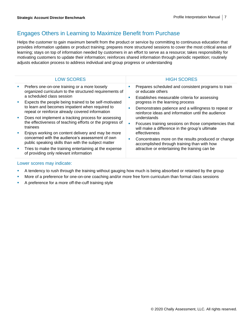### Engages Others in Learning to Maximize Benefit from Purchase

Helps the customer to gain maximum benefit from the product or service by committing to continuous education that provides information updates or product training; prepares more structured sessions to cover the most critical areas of learning; stays on top of information needed by customers in an effort to serve as a resource; takes responsibility for motivating customers to update their information; reinforces shared information through periodic repetition; routinely adjusts education process to address individual and group progress or understanding

| <b>LOW SCORES</b>                                                                                                                                                                                          | <b>HIGH SCORES</b>                                                                                                                                                                                   |
|------------------------------------------------------------------------------------------------------------------------------------------------------------------------------------------------------------|------------------------------------------------------------------------------------------------------------------------------------------------------------------------------------------------------|
| Prefers one-on-one training or a more loosely<br>a.<br>organized curriculum to the structured requirements of<br>a scheduled class session                                                                 | Prepares scheduled and consistent programs to train<br>or educate others                                                                                                                             |
| Expects the people being trained to be self-motivated<br>to learn and becomes impatient when required to<br>repeat or reinforce already covered information                                                | Establishes measurable criteria for assessing<br>×<br>progress in the learning process<br>Demonstrates patience and a willingness to repeat or<br>reinforce ideas and information until the audience |
| Does not implement a tracking process for assessing<br>the effectiveness of teaching efforts or the progress of<br>trainees<br>Enjoys working on content delivery and may be more                          | understands<br>Focuses training sessions on those competencies that<br>٠<br>will make a difference in the group's ultimate<br>effectiveness                                                          |
| concerned with the audience's assessment of own<br>public speaking skills than with the subject matter<br>Tries to make the training entertaining at the expense<br>of providing only relevant information | Concentrates more on the results produced or change<br>п<br>accomplished through training than with how<br>attractive or entertaining the training can be                                            |

- **•** A tendency to rush through the training without gauging how much is being absorbed or retained by the group
- More of a preference for one-on-one coaching and/or more free form curriculum than formal class sessions
- **•** A preference for a more off-the-cuff training style